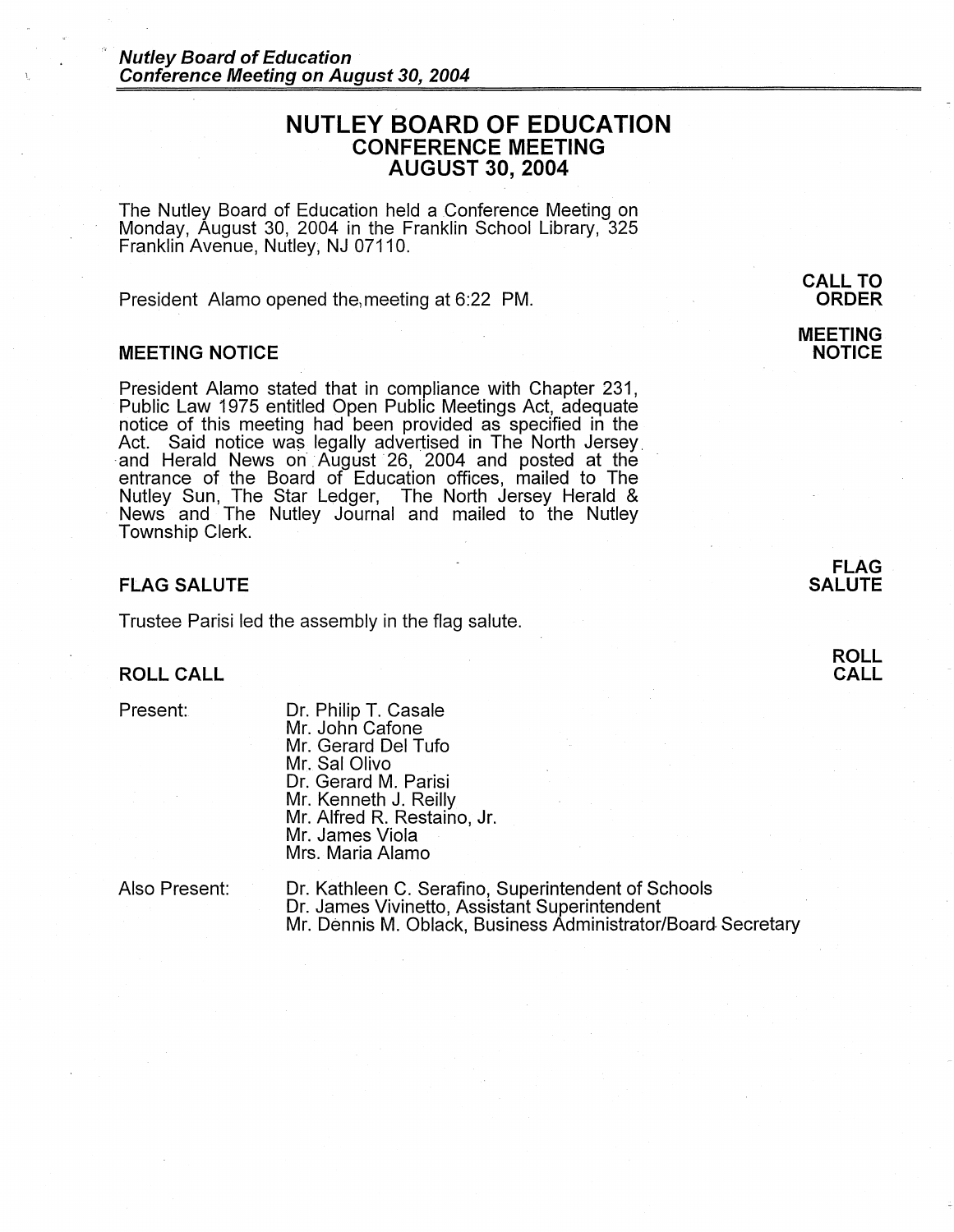# **NUTLEY BOARD OF EDUCATION CONFERENCE MEETING AUGUST 30, 2004**

The Nutley Board of Education held a Conference Meeting on Monday, August 30, 2004 in the Franklin School Library, 325 Franklin Avenue, Nutley; NJ 07110.

President Alamo opened the meeting at 6:22 PM.

#### **MEETING NOTICE**

President Alamo stated that in compliance with Chapter 231, Public Law 1975 entitled Open Public Meetings Act, adequate notice of this meeting had been provided as specified in the Act. Said notice was legally advertised in The North Jersey. and Herald News on August 26, 2004 and posted at the entrance of the Board of Education offices, mailed to The Nutley Sun, The Star Ledger, The North Jersey Herald & News and The Nutley Journal and mailed to the Nutley Township Clerk.

### **FLAG SALUTE**

Trustee Parisi led the assembly in the flag salute.

# **ROLL CALL**

Present:

Dr. Philip T. Casale Mr. John Cafone Mr. Gerard Del Tufo Mr. Sal Olivo Dr. Gerard M. Parisi Mr. Kenneth J. Reilly Mr. Alfred R. Restaino, Jr. Mr. James Viola Mrs. Maria Alamo

Also Present:

Dr. Kathleen C. Serafino, Superintendent of Schools<br>Dr. James Vivinetto, Assistant Superintendent Mr. Dennis M. Oblack, Business Administrator/Board Secretary

**MEETING NOTICE** 

> **FLAG SALUTE**

> > **ROLL CALL**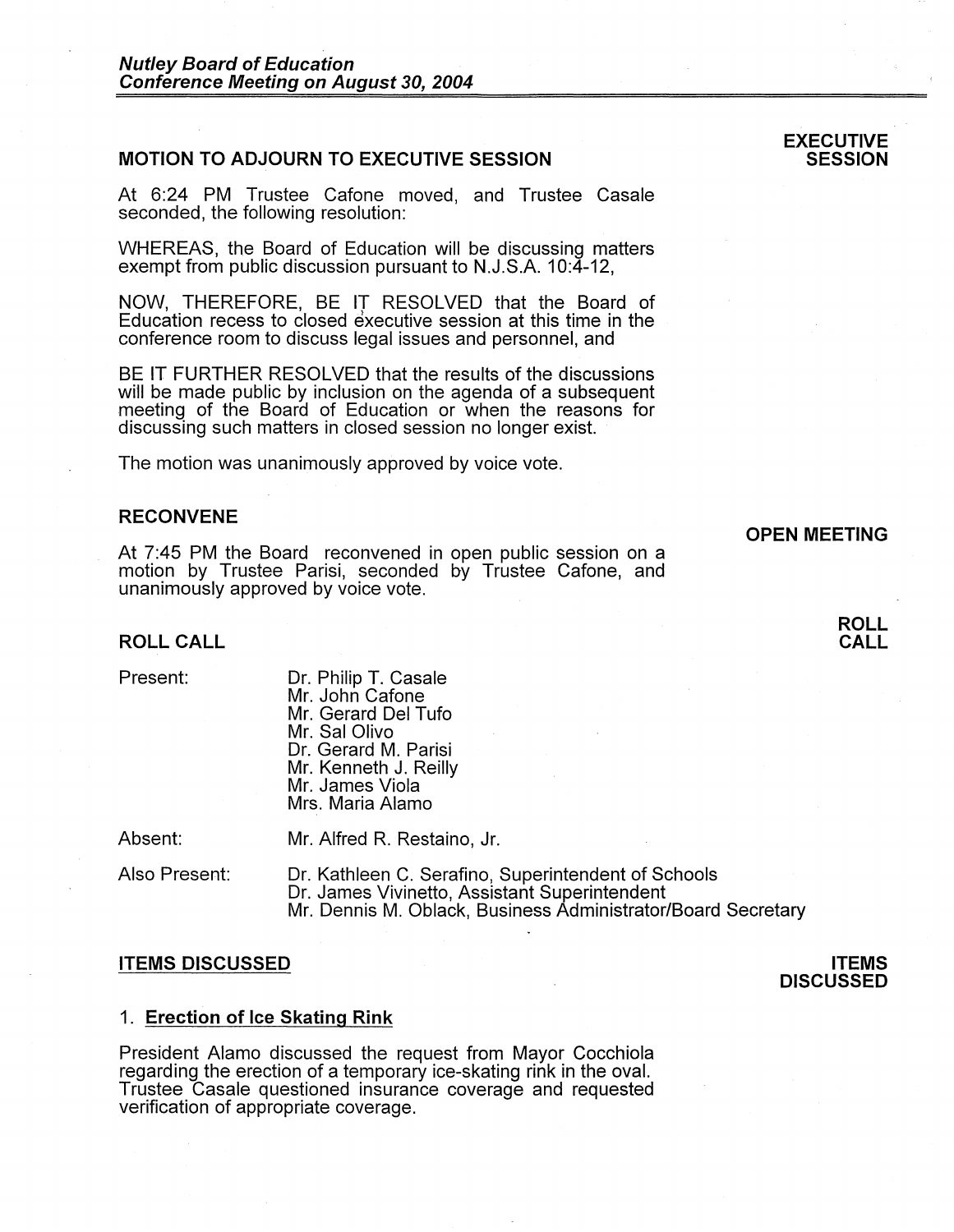# **MOTION TO ADJOURN TO EXECUTIVE SESSION**

At 6:24 PM Trustee Catone moved, and Trustee Casale seconded, the following resolution:

WHEREAS, the Board of Education will be discussing matters exempt from public discussion pursuant to N.J.S.A. 10:4-12,

NOW, THEREFORE, BE IT RESOLVED that the Board of Education recess to closed executive session at this time in the conference room to discuss legal issues and personnel, and

BE IT FURTHER RESOLVED that the results of the discussions will be made public by inclusion on the agenda of a subsequent meeting of the Board of Education or when the reasons for discussing such matters in closed session no longer exist.

The motion was unanimously approved by voice vote.

# **RECONVENE**

At 7:45 PM the Board reconvened in open public session on a motion by Trustee Parisi, seconded by Trustee Cafone, and unanimously approved by voice vote.

## **ROLL CALL**

| Present: |
|----------|
|----------|

Dr. Philip T. Casale Mr. John Catone Mr. Gerard Del Tufo Mr. Sal Olivo Dr. Gerard M. Parisi Mr. Kenneth J. Reilly Mr. James Viola Mrs. Maria Alamo

Absent:

Mr. Alfred R. Restaino, Jr.

Also Present: Dr. Kathleen C. Serafino, Superintendent of Schools Dr. James Vivinetto, Assistant Superintendent Mr. Dennis M. Oblack, Business Administrator/Board Secretary

#### **ITEMS DISCUSSED**

#### 1. **Erection of Ice Skating Rink**

President Alamo discussed the request from Mayor Cocchiola regarding the erection of a temporary ice-skating rink in the oval. Trustee Casale questioned insurance coverage and requested verification of appropriate coverage.

## **OPEN MEETING**

**ROLL CALL** 



### **EXECUTIVE SESSION**